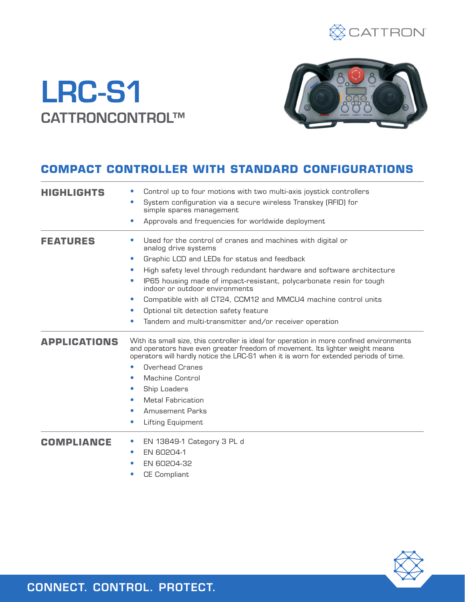

# LRC-S1 CATTRONCONTROL™



### **COMPACT CONTROLLER WITH STANDARD CONFIGURATIONS**

| <b>HIGHLIGHTS</b>   | Control up to four motions with two multi-axis joystick controllers                                                                                                                                                                                                 |  |
|---------------------|---------------------------------------------------------------------------------------------------------------------------------------------------------------------------------------------------------------------------------------------------------------------|--|
|                     | System configuration via a secure wireless Transkey (RFID) for<br>$\bullet$<br>simple spares management                                                                                                                                                             |  |
|                     | Approvals and frequencies for worldwide deployment<br>$\bullet$                                                                                                                                                                                                     |  |
| <b>FEATURES</b>     | Used for the control of cranes and machines with digital or<br>analog drive systems                                                                                                                                                                                 |  |
|                     | Graphic LCD and LEDs for status and feedback<br>۰                                                                                                                                                                                                                   |  |
|                     | High safety level through redundant hardware and software architecture<br>$\bullet$                                                                                                                                                                                 |  |
|                     | IP65 housing made of impact-resistant, polycarbonate resin for tough<br>$\bullet$<br>indoor or outdoor environments                                                                                                                                                 |  |
|                     | Compatible with all CT24, CCM12 and MMCU4 machine control units<br>$\bullet$                                                                                                                                                                                        |  |
|                     | Optional tilt detection safety feature<br>$\bullet$                                                                                                                                                                                                                 |  |
|                     | Tandem and multi-transmitter and/or receiver operation                                                                                                                                                                                                              |  |
|                     |                                                                                                                                                                                                                                                                     |  |
| <b>APPLICATIONS</b> | With its small size, this controller is ideal for operation in more confined environments<br>and operators have even greater freedom of movement. Its lighter weight means<br>operators will hardly notice the LRC-S1 when it is worn for extended periods of time. |  |
|                     | <b>Overhead Cranes</b>                                                                                                                                                                                                                                              |  |
|                     | Machine Control<br>$\bullet$                                                                                                                                                                                                                                        |  |
|                     | Ship Loaders<br>$\bullet$                                                                                                                                                                                                                                           |  |
|                     | <b>Metal Fabrication</b><br>$\bullet$                                                                                                                                                                                                                               |  |
|                     | <b>Amusement Parks</b><br>$\bullet$                                                                                                                                                                                                                                 |  |
|                     | Lifting Equipment<br>$\bullet$                                                                                                                                                                                                                                      |  |
| <b>COMPLIANCE</b>   | EN 13849-1 Category 3 PL d                                                                                                                                                                                                                                          |  |
|                     | EN 60204-1<br>$\bullet$                                                                                                                                                                                                                                             |  |
|                     | EN 60204-32                                                                                                                                                                                                                                                         |  |
|                     |                                                                                                                                                                                                                                                                     |  |